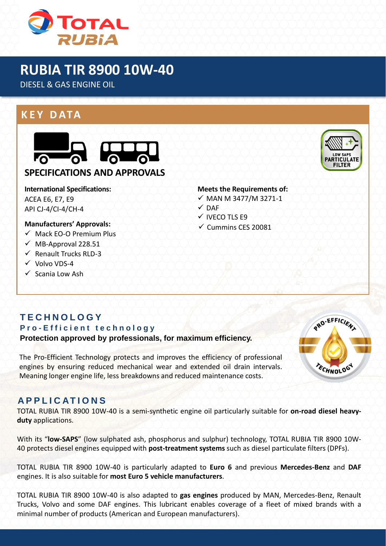

# **RUBIA TIR 8900 10W-40**

DIESEL & GAS ENGINE OIL

## **K E Y D ATA**



#### **SPECIFICATIONS AND APPROVALS**

#### **International Specifications:** ACEA E6, E7, E9 API CJ-4/CI-4/CH-4

#### **Manufacturers' Approvals:**

- $\checkmark$  Mack EO-O Premium Plus
- $\nu$  MB-Approval 228.51
- $\checkmark$  Renault Trucks RLD-3
- ✓ Volvo VDS-4
- ✓ Scania Low Ash

#### **Meets the Requirements of:**

- ✓ MAN M 3477/M 3271-1
- $V$  DAF
- ✓ IVECO TLS E9
- $\checkmark$  Cummins CES 20081

# **T E C H N O L O G Y**

**P r o - E f f i c i e n t t e c h n o l o g y Protection approved by professionals, for maximum efficiency.**

The Pro-Efficient Technology protects and improves the efficiency of professional engines by ensuring reduced mechanical wear and extended oil drain intervals. Meaning longer engine life, less breakdowns and reduced maintenance costs.



#### **A P P L I C AT I O N S**

TOTAL RUBIA TIR 8900 10W-40 is a semi-synthetic engine oil particularly suitable for **on-road diesel heavyduty** applications.

With its "**low-SAPS**" (low sulphated ash, phosphorus and sulphur) technology, TOTAL RUBIA TIR 8900 10W-40 protects diesel engines equipped with **post-treatment systems** such as diesel particulate filters (DPFs).

TOTAL RUBIA TIR 8900 10W-40 is particularly adapted to **Euro 6** and previous **Mercedes-Benz** and **DAF** engines. It is also suitable for **most Euro 5 vehicle manufacturers**.

TOTAL RUBIA TIR 8900 10W-40 is also adapted to **gas engines** produced by MAN, Mercedes-Benz, Renault Trucks, Volvo and some DAF engines. This lubricant enables coverage of a fleet of mixed brands with a minimal number of products (American and European manufacturers).